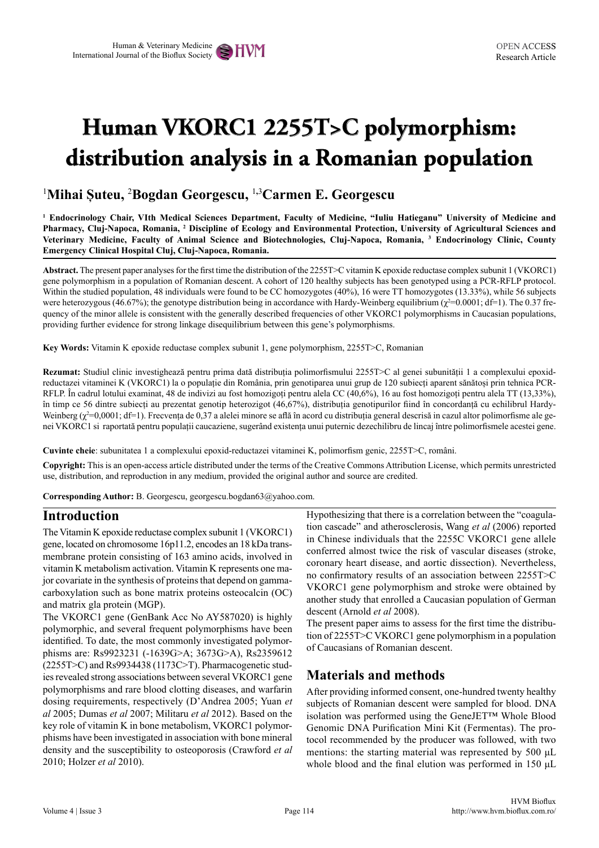# **Human VKORC1 2255T>C polymorphism: distribution analysis in a Romanian population**

# 1 **Mihai Șuteu,** <sup>2</sup> **Bogdan Georgescu,** <sup>1</sup>**,**<sup>3</sup> **Carmen E. Georgescu**

**1 Endocrinology Chair, VIth Medical Sciences Department, Faculty of Medicine, "Iuliu Hatieganu" University of Medicine and Pharmacy, Cluj-Napoca, Romania, <sup>2</sup> Discipline of Ecology and Environmental Protection, University of Agricultural Sciences and Veterinary Medicine, Faculty of Animal Science and Biotechnologies, Cluj-Napoca, Romania, <sup>3</sup> Endocrinology Clinic, County Emergency Clinical Hospital Cluj, Cluj-Napoca, Romania.** 

**Abstract.** The present paper analyses for the first time the distribution of the 2255T>C vitamin K epoxide reductase complex subunit 1 (VKORC1) gene polymorphism in a population of Romanian descent. A cohort of 120 healthy subjects has been genotyped using a PCR-RFLP protocol. Within the studied population, 48 individuals were found to be CC homozygotes (40%), 16 were TT homozygotes (13.33%), while 56 subjects were heterozygous (46.67%); the genotype distribution being in accordance with Hardy-Weinberg equilibrium  $(\chi^2=0.0001$ ; df=1). The 0.37 frequency of the minor allele is consistent with the generally described frequencies of other VKORC1 polymorphisms in Caucasian populations, providing further evidence for strong linkage disequilibrium between this gene's polymorphisms.

**Key Words:** Vitamin K epoxide reductase complex subunit 1, gene polymorphism, 2255T>C, Romanian

**Rezumat:** Studiul clinic investighează pentru prima dată distribuția polimorfismului 2255T>C al genei subunității 1 a complexului epoxidreductazei vitaminei K (VKORC1) la o populație din România, prin genotiparea unui grup de 120 subiecți aparent sănătoși prin tehnica PCR-RFLP. În cadrul lotului examinat, 48 de indivizi au fost homozigoți pentru alela CC (40,6%), 16 au fost homozigoți pentru alela TT (13,33%), în timp ce 56 dintre subiecți au prezentat genotip heterozigot (46,67%), distribuția genotipurilor fiind în concordanță cu echilibrul Hardy-Weinberg (χ<sup>2</sup>=0,0001; df=1). Frecvența de 0,37 a alelei minore se află în acord cu distribuția general descrisă in cazul altor polimorfisme ale genei VKORC1 si raportată pentru populații caucaziene, sugerând existența unui puternic dezechilibru de lincaj între polimorfismele acestei gene.

**Cuvinte cheie**: subunitatea 1 a complexului epoxid-reductazei vitaminei K, polimorfism genic, 2255T>C, români.

**Copyright:** This is an open-access article distributed under the terms of the Creative Commons Attribution License, which permits unrestricted use, distribution, and reproduction in any medium, provided the original author and source are credited.

**Corresponding Author:** B. Georgescu, georgescu.bogdan63@yahoo.com.

### **Introduction**

The Vitamin K epoxide reductase complex subunit 1 (VKORC1) gene, located on chromosome 16p11.2, encodes an 18 kDa transmembrane protein consisting of 163 amino acids, involved in vitamin K metabolism activation. Vitamin K represents one major covariate in the synthesis of proteins that depend on gammacarboxylation such as bone matrix proteins osteocalcin (OC) and matrix gla protein (MGP).

The VKORC1 gene (GenBank Acc No AY587020) is highly polymorphic, and several frequent polymorphisms have been identified. To date, the most commonly investigated polymorphisms are: Rs9923231 (-1639G>A; 3673G>A), Rs2359612 (2255T>C) and Rs9934438 (1173C>T). Pharmacogenetic studies revealed strong associations between several VKORC1 gene polymorphisms and rare blood clotting diseases, and warfarin dosing requirements, respectively (D'Andrea 2005; Yuan *et al* 2005; Dumas *et al* 2007; Militaru *et al* 2012). Based on the key role of vitamin K in bone metabolism, VKORC1 polymorphisms have been investigated in association with bone mineral density and the susceptibility to osteoporosis (Crawford *et al*  2010; Holzer *et al* 2010).

Hypothesizing that there is a correlation between the "coagulation cascade" and atherosclerosis, Wang *et al* (2006) reported in Chinese individuals that the 2255C VKORC1 gene allele conferred almost twice the risk of vascular diseases (stroke, coronary heart disease, and aortic dissection). Nevertheless, no confirmatory results of an association between 2255T>C VKORC1 gene polymorphism and stroke were obtained by another study that enrolled a Caucasian population of German descent (Arnold *et al* 2008).

The present paper aims to assess for the first time the distribution of 2255T>C VKORC1 gene polymorphism in a population of Caucasians of Romanian descent.

# **Materials and methods**

After providing informed consent, one-hundred twenty healthy subjects of Romanian descent were sampled for blood. DNA isolation was performed using the GeneJET™ Whole Blood Genomic DNA Purification Mini Kit (Fermentas). The protocol recommended by the producer was followed, with two mentions: the starting material was represented by 500 μL whole blood and the final elution was performed in 150 μL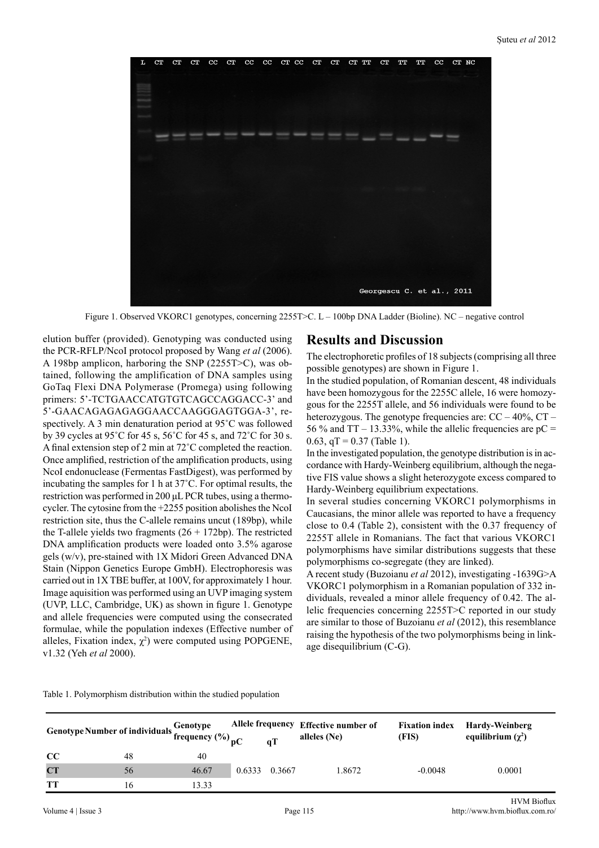

Figure 1. Observed VKORC1 genotypes, concerning 2255T>C. L – 100bp DNA Ladder (Bioline). NC – negative control

elution buffer (provided). Genotyping was conducted using the PCR-RFLP/NcoI protocol proposed by Wang *et al* (2006). A 198bp amplicon, harboring the SNP (2255T>C), was obtained, following the amplification of DNA samples using GoTaq Flexi DNA Polymerase (Promega) using following primers: 5'-TCTGAACCATGTGTCAGCCAGGACC-3' and 5'-GAACAGAGAGAGGAACCAAGGGAGTGGA-3', respectively. A 3 min denaturation period at 95˚C was followed by 39 cycles at 95˚C for 45 s, 56˚C for 45 s, and 72˚C for 30 s. A final extension step of 2 min at 72˚C completed the reaction. Once amplified, restriction of the amplification products, using NcoI endonuclease (Fermentas FastDigest), was performed by incubating the samples for 1 h at 37˚C. For optimal results, the restriction was performed in 200 μL PCR tubes, using a thermocycler. The cytosine from the +2255 position abolishes the NcoI restriction site, thus the C-allele remains uncut (189bp), while the T-allele yields two fragments  $(26 + 172bp)$ . The restricted DNA amplification products were loaded onto 3.5% agarose gels (w/v), pre-stained with 1X Midori Green Advanced DNA Stain (Nippon Genetics Europe GmbH). Electrophoresis was carried out in 1X TBE buffer, at 100V, for approximately 1 hour. Image aquisition was performed using an UVP imaging system (UVP, LLC, Cambridge, UK) as shown in figure 1. Genotype and allele frequencies were computed using the consecrated formulae, while the population indexes (Effective number of alleles, Fixation index,  $\chi^2$ ) were computed using POPGENE, v1.32 (Yeh *et al* 2000).

#### **Results and Discussion**

The electrophoretic profiles of 18 subjects (comprising all three possible genotypes) are shown in Figure 1.

In the studied population, of Romanian descent, 48 individuals have been homozygous for the 2255C allele, 16 were homozygous for the 2255T allele, and 56 individuals were found to be heterozygous. The genotype frequencies are:  $CC - 40\%$ ,  $CT -$ 56 % and  $TT - 13.33$ %, while the allelic frequencies are  $pC =$ 0.63,  $qT = 0.37$  (Table 1).

In the investigated population, the genotype distribution is in accordance with Hardy-Weinberg equilibrium, although the negative FIS value shows a slight heterozygote excess compared to Hardy-Weinberg equilibrium expectations.

In several studies concerning VKORC1 polymorphisms in Caucasians, the minor allele was reported to have a frequency close to 0.4 (Table 2), consistent with the 0.37 frequency of 2255T allele in Romanians. The fact that various VKORC1 polymorphisms have similar distributions suggests that these polymorphisms co-segregate (they are linked).

A recent study (Buzoianu *et al* 2012), investigating -1639G>A VKORC1 polymorphism in a Romanian population of 332 individuals, revealed a minor allele frequency of 0.42. The allelic frequencies concerning 2255T>C reported in our study are similar to those of Buzoianu *et al* (2012), this resemblance raising the hypothesis of the two polymorphisms being in linkage disequilibrium (C-G).

Table 1. Polymorphism distribution within the studied population

| Genotype Number of individuals $\frac{Genotype}{frequency(%)}_{pC}$ |    |       |               | qT | Allele frequency Effective number of<br>alleles (Ne) | <b>Fixation index</b><br>(FIS) | Hardy-Weinberg<br>equilibrium $(\gamma^2)$ |
|---------------------------------------------------------------------|----|-------|---------------|----|------------------------------------------------------|--------------------------------|--------------------------------------------|
| cc                                                                  | 48 | 40    |               |    |                                                      |                                |                                            |
| CT                                                                  | 56 | 46.67 | 0.6333 0.3667 |    | 1.8672                                               | $-0.0048$                      | 0.0001                                     |
| TT                                                                  | 16 | 13.33 |               |    |                                                      |                                |                                            |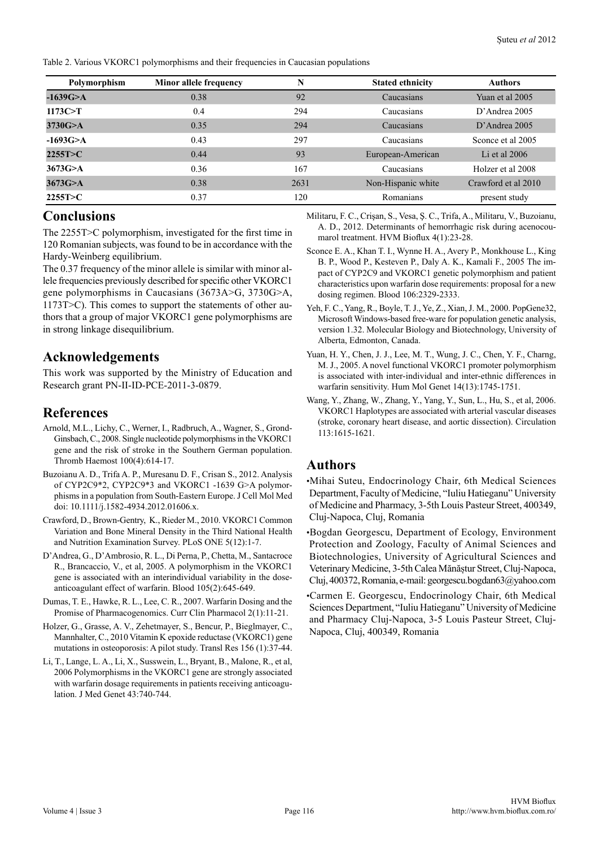Table 2. Various VKORC1 polymorphisms and their frequencies in Caucasian populations

| Polymorphism | Minor allele frequency | N    | <b>Stated ethnicity</b> | <b>Authors</b>      |
|--------------|------------------------|------|-------------------------|---------------------|
| $-1639G > A$ | 0.38                   | 92   | Caucasians              | Yuan et al 2005     |
| 1173C>T      | 0.4                    | 294  | Caucasians              | $D'$ Andrea 2005    |
| 3730G > A    | 0.35                   | 294  | Caucasians              | $D'$ Andrea 2005    |
| $-1693G > A$ | 0.43                   | 297  | Caucasians              | Sconce et al 2005   |
| 2255T > C    | 0.44                   | 93   | European-American       | Li et al $2006$     |
| 3673G > A    | 0.36                   | 167  | Caucasians              | Holzer et al 2008   |
| 3673G > A    | 0.38                   | 2631 | Non-Hispanic white      | Crawford et al 2010 |
| 2255T>C      | 0.37                   | 120  | Romanians               | present study       |

## **Conclusions**

The 2255T>C polymorphism, investigated for the first time in 120 Romanian subjects, was found to be in accordance with the Hardy-Weinberg equilibrium.

The 0.37 frequency of the minor allele is similar with minor allele frequencies previously described for specific other VKORC1 gene polymorphisms in Caucasians (3673A>G, 3730G>A, 1173T>C). This comes to support the statements of other authors that a group of major VKORC1 gene polymorphisms are in strong linkage disequilibrium.

## **Acknowledgements**

This work was supported by the Ministry of Education and Research grant PN-II-ID-PCE-2011-3-0879.

# **References**

- Arnold, M.L., Lichy, C., Werner, I., Radbruch, A., Wagner, S., Grond-Ginsbach, C., 2008. Single nucleotide polymorphisms in the VKORC1 gene and the risk of stroke in the Southern German population. Thromb Haemost 100(4):614-17.
- Buzoianu A. D., Trifa A. P., Muresanu D. F., Crisan S., 2012. Analysis of CYP2C9\*2, CYP2C9\*3 and VKORC1 -1639 G>A polymorphisms in a population from South-Eastern Europe. J Cell Mol Med doi: 10.1111/j.1582-4934.2012.01606.x.
- Crawford, D., Brown-Gentry, K., Rieder M., 2010. VKORC1 Common Variation and Bone Mineral Density in the Third National Health and Nutrition Examination Survey. PLoS ONE 5(12):1-7.
- D'Andrea, G., D'Ambrosio, R. L., Di Perna, P., Chetta, M., Santacroce R., Brancaccio, V., et al, 2005. A polymorphism in the VKORC1 gene is associated with an interindividual variability in the doseanticoagulant effect of warfarin. Blood 105(2):645-649.
- Dumas, T. E., Hawke, R. L., Lee, C. R., 2007. Warfarin Dosing and the Promise of Pharmacogenomics. Curr Clin Pharmacol 2(1):11-21.
- Holzer, G., Grasse, A. V., Zehetmayer, S., Bencur, P., Bieglmayer, C., Mannhalter, C., 2010 Vitamin K epoxide reductase (VKORC1) gene mutations in osteoporosis: A pilot study. Transl Res 156 (1):37-44.
- Li, T., Lange, L. A., Li, X., Susswein, L., Bryant, B., Malone, R., et al, 2006 Polymorphisms in the VKORC1 gene are strongly associated with warfarin dosage requirements in patients receiving anticoagulation. J Med Genet 43:740-744.

Militaru, F. C., Crişan, S., Vesa, Ş. C., Trifa, A., Militaru, V., Buzoianu, A. D., 2012. Determinants of hemorrhagic risk during acenocoumarol treatment. HVM Bioflux 4(1):23-28.

- Sconce E. A., Khan T. I., Wynne H. A., Avery P., Monkhouse L., King B. P., Wood P., Kesteven P., Daly A. K., Kamali F., 2005 The impact of CYP2C9 and VKORC1 genetic polymorphism and patient characteristics upon warfarin dose requirements: proposal for a new dosing regimen. Blood 106:2329-2333.
- Yeh, F. C., Yang, R., Boyle, T. J., Ye, Z., Xian, J. M., 2000. PopGene32, Microsoft Windows-based free-ware for population genetic analysis, version 1.32. Molecular Biology and Biotechnology, University of Alberta, Edmonton, Canada.
- Yuan, H. Y., Chen, J. J., Lee, M. T., Wung, J. C., Chen, Y. F., Charng, M. J., 2005. A novel functional VKORC1 promoter polymorphism is associated with inter-individual and inter-ethnic differences in warfarin sensitivity. Hum Mol Genet 14(13):1745-1751.
- Wang, Y., Zhang, W., Zhang, Y., Yang, Y., Sun, L., Hu, S., et al, 2006. VKORC1 Haplotypes are associated with arterial vascular diseases (stroke, coronary heart disease, and aortic dissection). Circulation 113:1615-1621.

## **Authors**

•Mihai Suteu, Endocrinology Chair, 6th Medical Sciences Department, Faculty of Medicine, "Iuliu Hatieganu" University of Medicine and Pharmacy, 3-5th Louis Pasteur Street, 400349, Cluj-Napoca, Cluj, Romania

•Bogdan Georgescu, Department of Ecology, Environment Protection and Zoology, Faculty of Animal Sciences and Biotechnologies, University of Agricultural Sciences and Veterinary Medicine, 3-5th Calea Mănăștur Street, Cluj-Napoca, Cluj, 400372, Romania, e-mail: georgescu.bogdan63@yahoo.com

•Carmen E. Georgescu, Endocrinology Chair, 6th Medical Sciences Department, "Iuliu Hatieganu" University of Medicine and Pharmacy Cluj-Napoca, 3-5 Louis Pasteur Street, Cluj-Napoca, Cluj, 400349, Romania